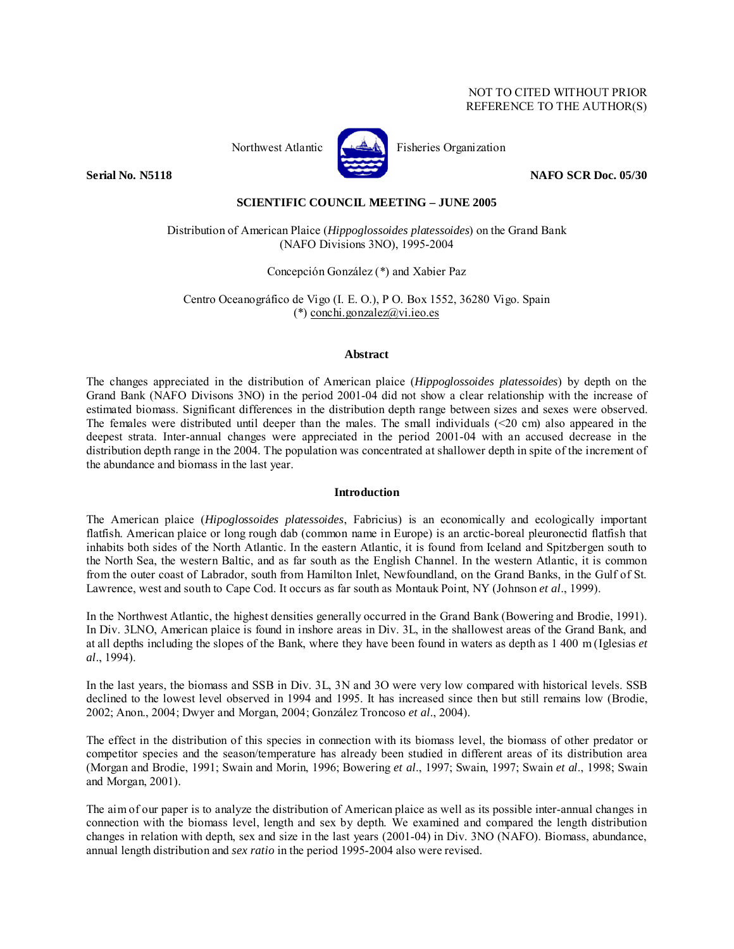# NOT TO CITED WITHOUT PRIOR REFERENCE TO THE AUTHOR(S)



Northwest Atlantic **Fisheries** Organization

**Serial No. N5118** NAFO SCR Doc. 05/30

# **SCIENTIFIC COUNCIL MEETING – JUNE 2005**

Distribution of American Plaice (*Hippoglossoides platessoides*) on the Grand Bank (NAFO Divisions 3NO), 1995-2004

Concepción González (\*) and Xabier Paz

Centro Oceanográfico de Vigo (I. E. O.), P O. Box 1552, 36280 Vigo. Spain (\*) conchi.gonzalez@vi.ieo.es

# **Abstract**

The changes appreciated in the distribution of American plaice (*Hippoglossoides platessoides*) by depth on the Grand Bank (NAFO Divisons 3NO) in the period 2001-04 did not show a clear relationship with the increase of estimated biomass. Significant differences in the distribution depth range between sizes and sexes were observed. The females were distributed until deeper than the males. The small individuals (<20 cm) also appeared in the deepest strata. Inter-annual changes were appreciated in the period 2001-04 with an accused decrease in the distribution depth range in the 2004. The population was concentrated at shallower depth in spite of the increment of the abundance and biomass in the last year.

# **Introduction**

The American plaice (*Hipoglossoides platessoides*, Fabricius) is an economically and ecologically important flatfish. American plaice or long rough dab (common name in Europe) is an arctic-boreal pleuronectid flatfish that inhabits both sides of the North Atlantic. In the eastern Atlantic, it is found from Iceland and Spitzbergen south to the North Sea, the western Baltic, and as far south as the English Channel. In the western Atlantic, it is common from the outer coast of Labrador, south from Hamilton Inlet, Newfoundland, on the Grand Banks, in the Gulf of St. Lawrence, west and south to Cape Cod. It occurs as far south as Montauk Point, NY (Johnson *et al*., 1999).

In the Northwest Atlantic, the highest densities generally occurred in the Grand Bank (Bowering and Brodie, 1991). In Div. 3LNO, American plaice is found in inshore areas in Div. 3L, in the shallowest areas of the Grand Bank, and at all depths including the slopes of the Bank, where they have been found in waters as depth as 1 400 m (Iglesias *et al*., 1994).

In the last years, the biomass and SSB in Div. 3L, 3N and 3O were very low compared with historical levels. SSB declined to the lowest level observed in 1994 and 1995. It has increased since then but still remains low (Brodie, 2002; Anon., 2004; Dwyer and Morgan, 2004; González Troncoso *et al*., 2004).

The effect in the distribution of this species in connection with its biomass level, the biomass of other predator or competitor species and the season/temperature has already been studied in different areas of its distribution area (Morgan and Brodie, 1991; Swain and Morin, 1996; Bowering *et al*., 1997; Swain, 1997; Swain *et al*., 1998; Swain and Morgan, 2001).

The aim of our paper is to analyze the distribution of American plaice as well as its possible inter-annual changes in connection with the biomass level, length and sex by depth. We examined and compared the length distribution changes in relation with depth, sex and size in the last years (2001-04) in Div. 3NO (NAFO). Biomass, abundance, annual length distribution and *sex ratio* in the period 1995-2004 also were revised.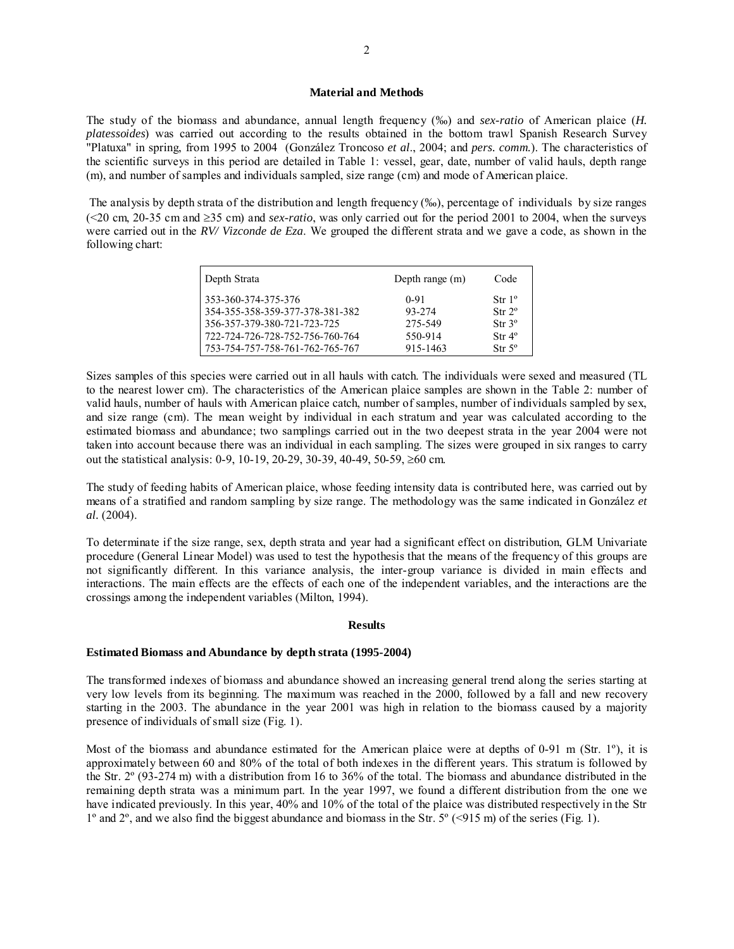# **Material and Methods**

The study of the biomass and abundance, annual length frequency (‰) and *sex-ratio* of American plaice (*H. platessoides*) was carried out according to the results obtained in the bottom trawl Spanish Research Survey "Platuxa" in spring, from 1995 to 2004 (González Troncoso *et al*., 2004; and *pers. comm.*). The characteristics of the scientific surveys in this period are detailed in Table 1: vessel, gear, date, number of valid hauls, depth range (m), and number of samples and individuals sampled, size range (cm) and mode of American plaice.

 The analysis by depth strata of the distribution and length frequency (‰), percentage of individuals by size ranges (<20 cm, 20-35 cm and ≥35 cm) and *sex-ratio*, was only carried out for the period 2001 to 2004, when the surveys were carried out in the *RV/ Vizconde de Eza*. We grouped the different strata and we gave a code, as shown in the following chart:

| Depth Strata                                           | Depth range (m)    | Code                                     |
|--------------------------------------------------------|--------------------|------------------------------------------|
| 353-360-374-375-376<br>354-355-358-359-377-378-381-382 | $0 - 91$<br>93-274 | Str 1 <sup>o</sup><br>Str 2 <sup>o</sup> |
| 356-357-379-380-721-723-725                            | 275-549            | Str 3 <sup>o</sup>                       |
| 1722-724-726-728-752-756-760-764                       | 550-914            | Str 4 <sup>o</sup>                       |
| 753-754-757-758-761-762-765-767                        | 915-1463           | $Str 5^{\circ}$                          |

Sizes samples of this species were carried out in all hauls with catch. The individuals were sexed and measured (TL to the nearest lower cm). The characteristics of the American plaice samples are shown in the Table 2: number of valid hauls, number of hauls with American plaice catch, number of samples, number of individuals sampled by sex, and size range (cm). The mean weight by individual in each stratum and year was calculated according to the estimated biomass and abundance; two samplings carried out in the two deepest strata in the year 2004 were not taken into account because there was an individual in each sampling. The sizes were grouped in six ranges to carry out the statistical analysis: 0-9, 10-19, 20-29, 30-39, 40-49, 50-59, ≥60 cm.

The study of feeding habits of American plaice, whose feeding intensity data is contributed here, was carried out by means of a stratified and random sampling by size range. The methodology was the same indicated in González *et al.* (2004).

To determinate if the size range, sex, depth strata and year had a significant effect on distribution, GLM Univariate procedure (General Linear Model) was used to test the hypothesis that the means of the frequency of this groups are not significantly different. In this variance analysis, the inter-group variance is divided in main effects and interactions. The main effects are the effects of each one of the independent variables, and the interactions are the crossings among the independent variables (Milton, 1994).

### **Results**

# **Estimated Biomass and Abundance by depth strata (1995-2004)**

The transformed indexes of biomass and abundance showed an increasing general trend along the series starting at very low levels from its beginning. The maximum was reached in the 2000, followed by a fall and new recovery starting in the 2003. The abundance in the year 2001 was high in relation to the biomass caused by a majority presence of individuals of small size (Fig. 1).

Most of the biomass and abundance estimated for the American plaice were at depths of 0-91 m (Str. 1º), it is approximately between 60 and 80% of the total of both indexes in the different years. This stratum is followed by the Str. 2º (93-274 m) with a distribution from 16 to 36% of the total. The biomass and abundance distributed in the remaining depth strata was a minimum part. In the year 1997, we found a different distribution from the one we have indicated previously. In this year, 40% and 10% of the total of the plaice was distributed respectively in the Str 1º and 2º, and we also find the biggest abundance and biomass in the Str. 5º (<915 m) of the series (Fig. 1).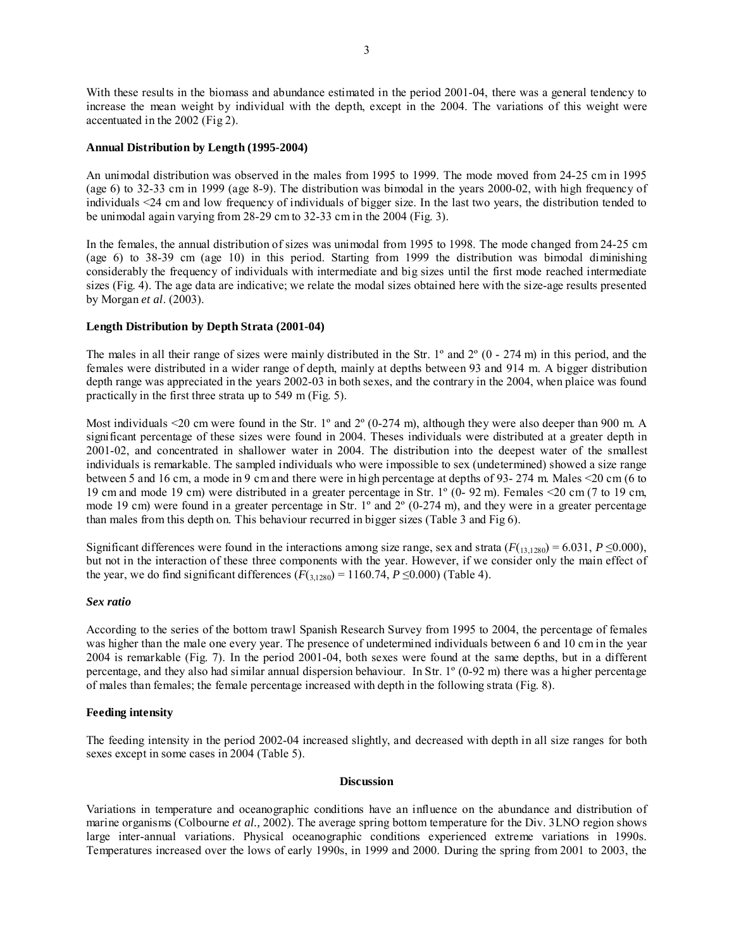With these results in the biomass and abundance estimated in the period 2001-04, there was a general tendency to increase the mean weight by individual with the depth, except in the 2004. The variations of this weight were accentuated in the 2002 (Fig 2).

## **Annual Distribution by Length (1995-2004)**

An unimodal distribution was observed in the males from 1995 to 1999. The mode moved from 24-25 cm in 1995 (age 6) to 32-33 cm in 1999 (age 8-9). The distribution was bimodal in the years 2000-02, with high frequency of individuals <24 cm and low frequency of individuals of bigger size. In the last two years, the distribution tended to be unimodal again varying from 28-29 cm to 32-33 cm in the 2004 (Fig. 3).

In the females, the annual distribution of sizes was unimodal from 1995 to 1998. The mode changed from 24-25 cm (age 6) to 38-39 cm (age 10) in this period. Starting from 1999 the distribution was bimodal diminishing considerably the frequency of individuals with intermediate and big sizes until the first mode reached intermediate sizes (Fig. 4). The age data are indicative; we relate the modal sizes obtained here with the size-age results presented by Morgan *et al*. (2003).

# **Length Distribution by Depth Strata (2001-04)**

The males in all their range of sizes were mainly distributed in the Str. 1<sup>°</sup> and  $2^\circ$  (0 - 274 m) in this period, and the females were distributed in a wider range of depth, mainly at depths between 93 and 914 m. A bigger distribution depth range was appreciated in the years 2002-03 in both sexes, and the contrary in the 2004, when plaice was found practically in the first three strata up to 549 m (Fig. 5).

Most individuals <20 cm were found in the Str. 1° and 2° (0-274 m), although they were also deeper than 900 m. A significant percentage of these sizes were found in 2004. Theses individuals were distributed at a greater depth in 2001-02, and concentrated in shallower water in 2004. The distribution into the deepest water of the smallest individuals is remarkable. The sampled individuals who were impossible to sex (undetermined) showed a size range between 5 and 16 cm, a mode in 9 cm and there were in high percentage at depths of 93- 274 m. Males <20 cm (6 to 19 cm and mode 19 cm) were distributed in a greater percentage in Str. 1º (0- 92 m). Females <20 cm (7 to 19 cm, mode 19 cm) were found in a greater percentage in Str. 1º and 2º (0-274 m), and they were in a greater percentage than males from this depth on. This behaviour recurred in bigger sizes (Table 3 and Fig 6).

Significant differences were found in the interactions among size range, sex and strata  $(F(13,1280) = 6.031, P \le 0.000)$ , but not in the interaction of these three components with the year. However, if we consider only the main effect of the year, we do find significant differences  $(F(\frac{3}{3}, \frac{1}{280}) = 1160.74, P \le 0.000)$  (Table 4).

### *Sex ratio*

According to the series of the bottom trawl Spanish Research Survey from 1995 to 2004, the percentage of females was higher than the male one every year. The presence of undetermined individuals between 6 and 10 cm in the year 2004 is remarkable (Fig. 7). In the period 2001-04, both sexes were found at the same depths, but in a different percentage, and they also had similar annual dispersion behaviour. In Str. 1º (0-92 m) there was a higher percentage of males than females; the female percentage increased with depth in the following strata (Fig. 8).

# **Feeding intensity**

The feeding intensity in the period 2002-04 increased slightly, and decreased with depth in all size ranges for both sexes except in some cases in 2004 (Table 5).

### **Discussion**

Variations in temperature and oceanographic conditions have an influence on the abundance and distribution of marine organisms (Colbourne *et al.,* 2002). The average spring bottom temperature for the Div. 3LNO region shows large inter-annual variations. Physical oceanographic conditions experienced extreme variations in 1990s. Temperatures increased over the lows of early 1990s, in 1999 and 2000. During the spring from 2001 to 2003, the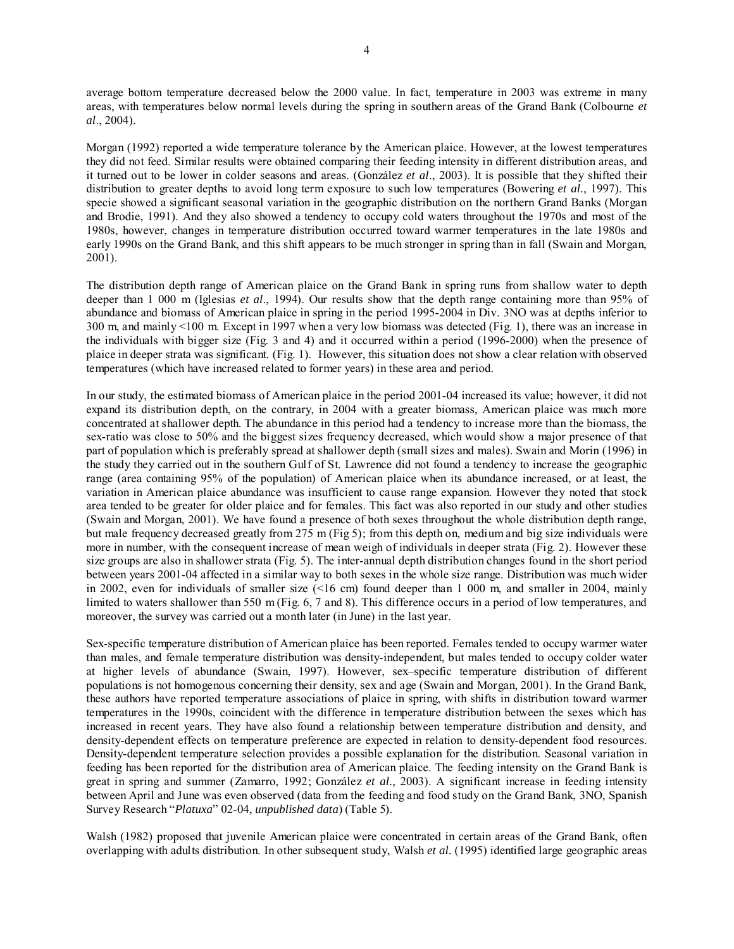average bottom temperature decreased below the 2000 value. In fact, temperature in 2003 was extreme in many areas, with temperatures below normal levels during the spring in southern areas of the Grand Bank (Colbourne *et al*., 2004).

Morgan (1992) reported a wide temperature tolerance by the American plaice. However, at the lowest temperatures they did not feed. Similar results were obtained comparing their feeding intensity in different distribution areas, and it turned out to be lower in colder seasons and areas. (González *et al*., 2003). It is possible that they shifted their distribution to greater depths to avoid long term exposure to such low temperatures (Bowering *et al.,* 1997). This specie showed a significant seasonal variation in the geographic distribution on the northern Grand Banks (Morgan and Brodie, 1991). And they also showed a tendency to occupy cold waters throughout the 1970s and most of the 1980s, however, changes in temperature distribution occurred toward warmer temperatures in the late 1980s and early 1990s on the Grand Bank, and this shift appears to be much stronger in spring than in fall (Swain and Morgan, 2001).

The distribution depth range of American plaice on the Grand Bank in spring runs from shallow water to depth deeper than 1 000 m (Iglesias *et al*., 1994). Our results show that the depth range containing more than 95% of abundance and biomass of American plaice in spring in the period 1995-2004 in Div. 3NO was at depths inferior to 300 m, and mainly <100 m. Except in 1997 when a very low biomass was detected (Fig. 1), there was an increase in the individuals with bigger size (Fig. 3 and 4) and it occurred within a period (1996-2000) when the presence of plaice in deeper strata was significant. (Fig. 1). However, this situation does not show a clear relation with observed temperatures (which have increased related to former years) in these area and period.

In our study, the estimated biomass of American plaice in the period 2001-04 increased its value; however, it did not expand its distribution depth, on the contrary, in 2004 with a greater biomass, American plaice was much more concentrated at shallower depth. The abundance in this period had a tendency to increase more than the biomass, the sex-ratio was close to 50% and the biggest sizes frequency decreased, which would show a major presence of that part of population which is preferably spread at shallower depth (small sizes and males). Swain and Morin (1996) in the study they carried out in the southern Gulf of St. Lawrence did not found a tendency to increase the geographic range (area containing 95% of the population) of American plaice when its abundance increased, or at least, the variation in American plaice abundance was insufficient to cause range expansion. However they noted that stock area tended to be greater for older plaice and for females. This fact was also reported in our study and other studies (Swain and Morgan, 2001). We have found a presence of both sexes throughout the whole distribution depth range, but male frequency decreased greatly from 275 m (Fig 5); from this depth on, medium and big size individuals were more in number, with the consequent increase of mean weigh of individuals in deeper strata (Fig. 2). However these size groups are also in shallower strata (Fig. 5). The inter-annual depth distribution changes found in the short period between years 2001-04 affected in a similar way to both sexes in the whole size range. Distribution was much wider in 2002, even for individuals of smaller size (<16 cm) found deeper than 1 000 m, and smaller in 2004, mainly limited to waters shallower than 550 m (Fig. 6, 7 and 8). This difference occurs in a period of low temperatures, and moreover, the survey was carried out a month later (in June) in the last year.

Sex-specific temperature distribution of American plaice has been reported. Females tended to occupy warmer water than males, and female temperature distribution was density-independent, but males tended to occupy colder water at higher levels of abundance (Swain, 1997). However, sex–specific temperature distribution of different populations is not homogenous concerning their density, sex and age (Swain and Morgan, 2001). In the Grand Bank, these authors have reported temperature associations of plaice in spring, with shifts in distribution toward warmer temperatures in the 1990s, coincident with the difference in temperature distribution between the sexes which has increased in recent years. They have also found a relationship between temperature distribution and density, and density-dependent effects on temperature preference are expected in relation to density-dependent food resources. Density-dependent temperature selection provides a possible explanation for the distribution. Seasonal variation in feeding has been reported for the distribution area of American plaice. The feeding intensity on the Grand Bank is great in spring and summer (Zamarro, 1992; González *et al.,* 2003). A significant increase in feeding intensity between April and June was even observed (data from the feeding and food study on the Grand Bank, 3NO, Spanish Survey Research "*Platuxa*" 02-04, *unpublished data*) (Table 5).

Walsh (1982) proposed that juvenile American plaice were concentrated in certain areas of the Grand Bank, often overlapping with adults distribution. In other subsequent study, Walsh *et al.* (1995) identified large geographic areas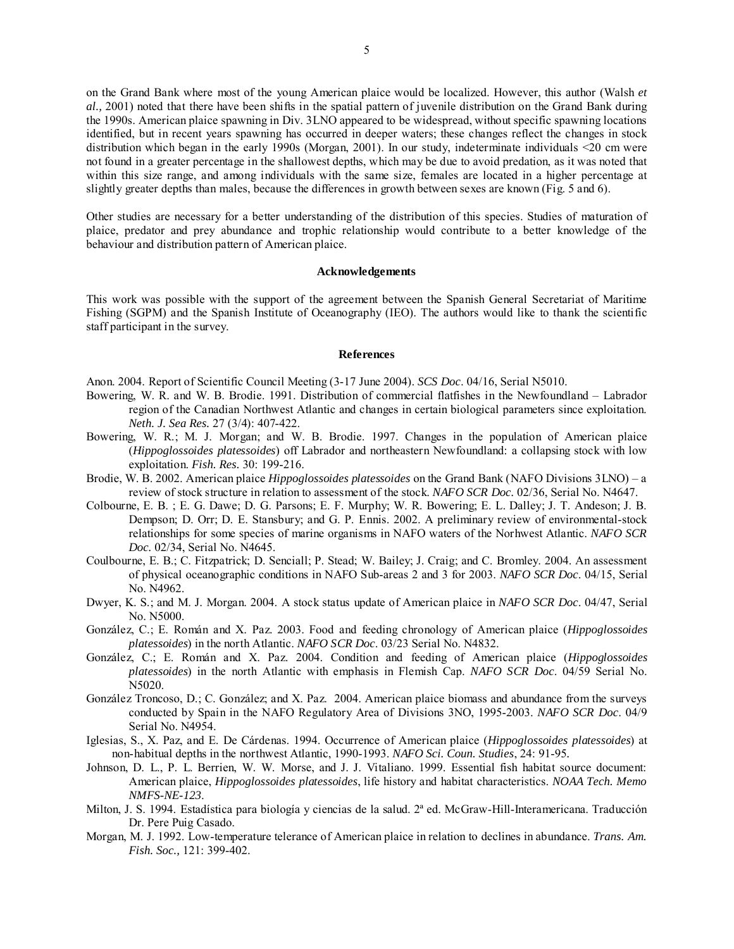on the Grand Bank where most of the young American plaice would be localized. However, this author (Walsh *et al.,* 2001) noted that there have been shifts in the spatial pattern of juvenile distribution on the Grand Bank during the 1990s. American plaice spawning in Div. 3LNO appeared to be widespread, without specific spawning locations identified, but in recent years spawning has occurred in deeper waters; these changes reflect the changes in stock distribution which began in the early 1990s (Morgan, 2001). In our study, indeterminate individuals <20 cm were not found in a greater percentage in the shallowest depths, which may be due to avoid predation, as it was noted that within this size range, and among individuals with the same size, females are located in a higher percentage at slightly greater depths than males, because the differences in growth between sexes are known (Fig. 5 and 6).

Other studies are necessary for a better understanding of the distribution of this species. Studies of maturation of plaice, predator and prey abundance and trophic relationship would contribute to a better knowledge of the behaviour and distribution pattern of American plaice.

### **Acknowledgements**

This work was possible with the support of the agreement between the Spanish General Secretariat of Maritime Fishing (SGPM) and the Spanish Institute of Oceanography (IEO). The authors would like to thank the scientific staff participant in the survey.

## **References**

Anon. 2004. Report of Scientific Council Meeting (3-17 June 2004). *SCS Doc*. 04/16, Serial N5010.

- Bowering, W. R. and W. B. Brodie. 1991. Distribution of commercial flatfishes in the Newfoundland Labrador region of the Canadian Northwest Atlantic and changes in certain biological parameters since exploitation. *Neth. J. Sea Res.* 27 (3/4): 407-422.
- Bowering, W. R.; M. J. Morgan; and W. B. Brodie. 1997. Changes in the population of American plaice (*Hippoglossoides platessoides*) off Labrador and northeastern Newfoundland: a collapsing stock with low exploitation. *Fish. Res.* 30: 199-216.
- Brodie, W. B. 2002. American plaice *Hippoglossoides platessoides* on the Grand Bank (NAFO Divisions 3LNO) a review of stock structure in relation to assessment of the stock. *NAFO SCR Doc.* 02/36, Serial No. N4647.
- Colbourne, E. B. ; E. G. Dawe; D. G. Parsons; E. F. Murphy; W. R. Bowering; E. L. Dalley; J. T. Andeson; J. B. Dempson; D. Orr; D. E. Stansbury; and G. P. Ennis. 2002. A preliminary review of environmental-stock relationships for some species of marine organisms in NAFO waters of the Norhwest Atlantic. *NAFO SCR Doc.* 02/34, Serial No. N4645.
- Coulbourne, E. B.; C. Fitzpatrick; D. Senciall; P. Stead; W. Bailey; J. Craig; and C. Bromley. 2004. An assessment of physical oceanographic conditions in NAFO Sub-areas 2 and 3 for 2003. *NAFO SCR Doc*. 04/15, Serial No. N4962.
- Dwyer, K. S.; and M. J. Morgan. 2004. A stock status update of American plaice in *NAFO SCR Doc*. 04/47, Serial No. N5000.
- González, C.; E. Román and X. Paz. 2003. Food and feeding chronology of American plaice (*Hippoglossoides platessoides*) in the north Atlantic. *NAFO SCR Doc*. 03/23 Serial No. N4832.
- González, C.; E. Román and X. Paz. 2004. Condition and feeding of American plaice (*Hippoglossoides platessoides*) in the north Atlantic with emphasis in Flemish Cap. *NAFO SCR Doc*. 04/59 Serial No. N5020.
- González Troncoso, D.; C. González; and X. Paz. 2004. American plaice biomass and abundance from the surveys conducted by Spain in the NAFO Regulatory Area of Divisions 3NO, 1995-2003. *NAFO SCR Doc*. 04/9 Serial No. N4954.
- Iglesias, S., X. Paz, and E. De Cárdenas. 1994. Occurrence of American plaice (*Hippoglossoides platessoides*) at non-habitual depths in the northwest Atlantic, 1990-1993. *NAFO Sci. Coun. Studies*, 24: 91-95*.*
- Johnson, D. L., P. L. Berrien, W. W. Morse, and J. J. Vitaliano. 1999. Essential fish habitat source document: American plaice, *Hippoglossoides platessoides*, life history and habitat characteristics. *NOAA Tech. Memo NMFS-NE-123*.
- Milton, J. S. 1994. Estadística para biología y ciencias de la salud. 2ª ed. McGraw-Hill-Interamericana. Traducción Dr. Pere Puig Casado.
- Morgan, M. J. 1992. Low-temperature telerance of American plaice in relation to declines in abundance. *Trans. Am. Fish. Soc.,* 121: 399-402.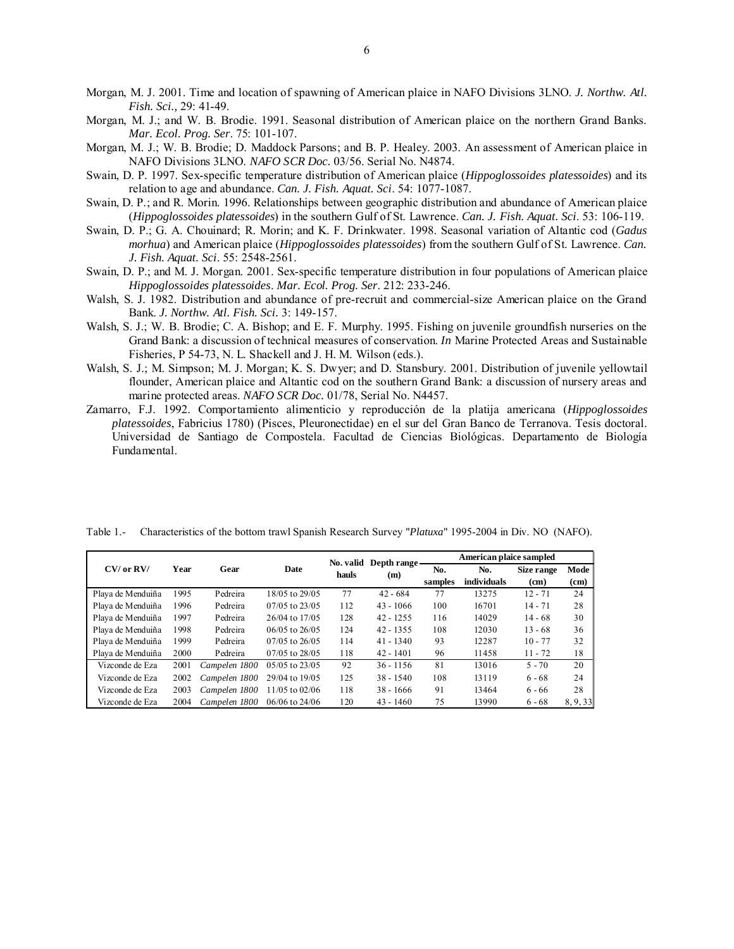- Morgan, M. J. 2001. Time and location of spawning of American plaice in NAFO Divisions 3LNO. *J. Northw. Atl. Fish. Sci.,* 29: 41-49.
- Morgan, M. J.; and W. B. Brodie. 1991. Seasonal distribution of American plaice on the northern Grand Banks. *Mar. Ecol. Prog. Ser*. 75: 101-107.
- Morgan, M. J.; W. B. Brodie; D. Maddock Parsons; and B. P. Healey. 2003. An assessment of American plaice in NAFO Divisions 3LNO. *NAFO SCR Doc.* 03/56. Serial No. N4874.
- Swain, D. P. 1997. Sex-specific temperature distribution of American plaice (*Hippoglossoides platessoides*) and its relation to age and abundance. *Can. J. Fish. Aquat. Sci*. 54: 1077-1087.
- Swain, D. P.; and R. Morin. 1996. Relationships between geographic distribution and abundance of American plaice (*Hippoglossoides platessoides*) in the southern Gulf of St. Lawrence. *Can. J. Fish. Aquat. Sci*. 53: 106-119.
- Swain, D. P.; G. A. Chouinard; R. Morin; and K. F. Drinkwater. 1998. Seasonal variation of Altantic cod (*Gadus morhua*) and American plaice (*Hippoglossoides platessoides*) from the southern Gulf of St. Lawrence. *Can. J. Fish. Aquat. Sci*. 55: 2548-2561.
- Swain, D. P.; and M. J. Morgan. 2001. Sex-specific temperature distribution in four populations of American plaice *Hippoglossoides platessoides*. *Mar. Ecol. Prog. Ser*. 212: 233-246.
- Walsh, S. J. 1982. Distribution and abundance of pre-recruit and commercial-size American plaice on the Grand Bank. *J. Northw. Atl. Fish. Sci.* 3: 149-157.
- Walsh, S. J.; W. B. Brodie; C. A. Bishop; and E. F. Murphy. 1995. Fishing on juvenile groundfish nurseries on the Grand Bank: a discussion of technical measures of conservation. *In* Marine Protected Areas and Sustainable Fisheries, P 54-73, N. L. Shackell and J. H. M. Wilson (eds.).
- Walsh, S. J.; M. Simpson; M. J. Morgan; K. S. Dwyer; and D. Stansbury. 2001. Distribution of juvenile yellowtail flounder, American plaice and Altantic cod on the southern Grand Bank: a discussion of nursery areas and marine protected areas. *NAFO SCR Doc.* 01/78, Serial No. N4457.
- Zamarro, F.J. 1992. Comportamiento alimenticio y reproducción de la platija americana (*Hippoglossoides platessoides*, Fabricius 1780) (Pisces, Pleuronectidae) en el sur del Gran Banco de Terranova. Tesis doctoral. Universidad de Santiago de Compostela. Facultad de Ciencias Biológicas. Departamento de Biología Fundamental.

|                   |      |               |                    |                    | No. valid Depth range |         | American plaice sampled |                   |          |  |  |  |  |
|-------------------|------|---------------|--------------------|--------------------|-----------------------|---------|-------------------------|-------------------|----------|--|--|--|--|
| $CV/$ or $RV/$    | Year | Gear          | Date               | hauls              | (m)                   | No.     | No.                     | Size range        | Mode     |  |  |  |  |
|                   |      |               |                    |                    |                       | samples | individuals             | (c <sub>m</sub> ) | (cm)     |  |  |  |  |
| Playa de Menduiña | 1995 | Pedreira      | 18/05 to 29/05     | 77                 | $42 - 684$            | 77      | 13275                   | $12 - 71$         | 24       |  |  |  |  |
| Plava de Menduiña | 1996 | Pedreira      | 07/05 to 23/05     | 112                | $43 - 1066$           | 100     | 16701                   | $14 - 71$         | 28       |  |  |  |  |
| Playa de Menduiña | 1997 | Pedreira      | 26/04 to 17/05     | 128                | $42 - 1255$           | 116     | 14029                   | $14 - 68$         | 30       |  |  |  |  |
| Plava de Menduiña | 1998 | Pedreira      | $06/05$ to 26/05   | 124<br>$42 - 1355$ |                       | 108     | 12030                   | $13 - 68$         | 36       |  |  |  |  |
| Playa de Menduiña | 1999 | Pedreira      | $07/05$ to $26/05$ | 114                | $41 - 1340$           | 93      | 12287                   | $10 - 77$         | 32       |  |  |  |  |
| Plava de Menduiña | 2000 | Pedreira      | 07/05 to 28/05     | 118                | $42 - 1401$           | 96      | 11458                   | $11 - 72$         | 18       |  |  |  |  |
| Vizconde de Eza   | 2001 | Campelen 1800 | 05/05 to 23/05     | 92                 | $36 - 1156$           | 81      | 13016                   | $5 - 70$          | 20       |  |  |  |  |
| Vizconde de Eza   | 2002 | Campelen 1800 | 29/04 to 19/05     | 125                | $38 - 1540$           | 108     | 13119                   | $6 - 68$          | 24       |  |  |  |  |
| Vizconde de Eza   | 2003 | Campelen 1800 | 11/05 to 02/06     | 118                | $38 - 1666$           | 91      | 13464                   | $6 - 66$          | 28       |  |  |  |  |
| Vizconde de Eza   | 2004 | Campelen 1800 | 06/06 to 24/06     | 120                | $43 - 1460$           | 75      | 13990                   | $6 - 68$          | 8, 9, 33 |  |  |  |  |

Table 1.- Characteristics of the bottom trawl Spanish Research Survey "*Platuxa*" 1995-2004 in Div. NO (NAFO).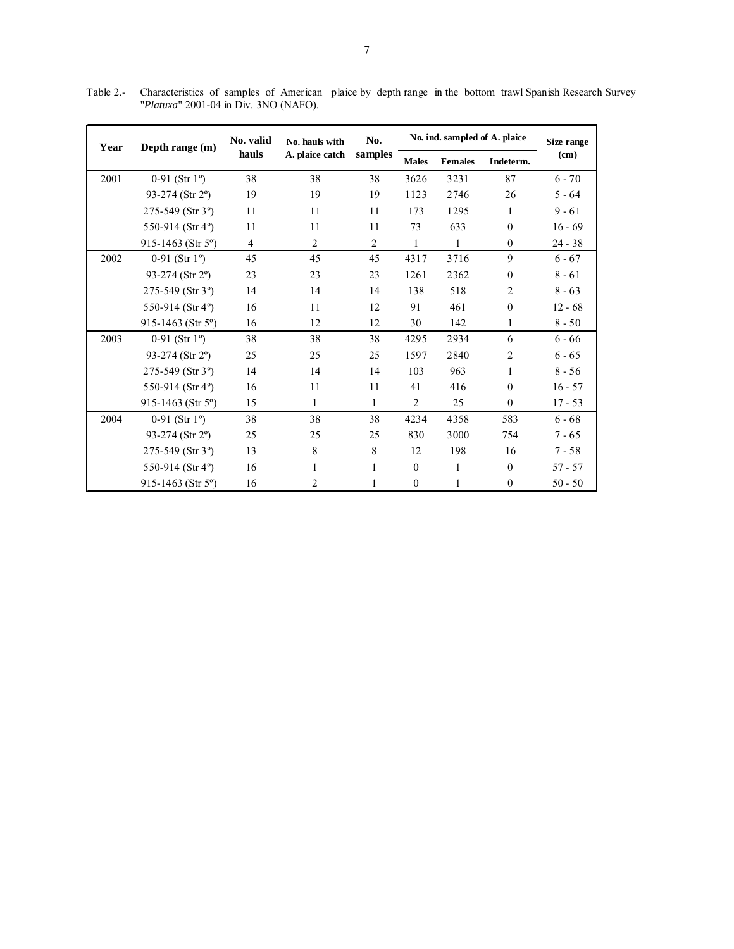Table 2.- Characteristics of samples of American plaice by depth range in the bottom trawl Spanish Research Survey "*Platuxa*" 2001-04 in Div. 3NO (NAFO).

| Year | Depth range (m)             | No. valid      | No. hauls with  | No.            | No. ind. sampled of A. plaice | Size range     |                |           |
|------|-----------------------------|----------------|-----------------|----------------|-------------------------------|----------------|----------------|-----------|
|      |                             | hauls          | A. plaice catch | samples        | <b>Males</b>                  | <b>Females</b> | Indeterm.      | (cm)      |
| 2001 | 0-91 (Str $1^{\circ}$ )     | 38             | 38              | 38             | 3626                          | 3231           | 87             | $6 - 70$  |
|      | 93-274 (Str $2^{\circ}$ )   | 19             | 19              | 19             | 1123                          | 2746           | 26             | $5 - 64$  |
|      | 275-549 (Str 3°)            | 11             | 11              | 11             | 173                           | 1295           | 1              | $9 - 61$  |
|      | 550-914 (Str 4°)            | 11             | 11              | 11             | 73                            | 633            | $\Omega$       | $16 - 69$ |
|      | 915-1463 (Str $5^{\circ}$ ) | $\overline{4}$ | $\overline{2}$  | $\overline{c}$ | $\mathbf{1}$                  | $\mathbf{1}$   | $\theta$       | $24 - 38$ |
| 2002 | 0-91 (Str $1^{\circ}$ )     | 45             | 45              | 45             | 4317                          | 3716           | 9              | $6 - 67$  |
|      | 93-274 (Str 2°)             | 23             | 23              | 23             | 1261                          | 2362           | $\theta$       | $8 - 61$  |
|      | 275-549 (Str 3°)            | 14             | 14              | 14             | 138                           | 518            | $\overline{2}$ | $8 - 63$  |
|      | 550-914 (Str 4°)            | 16             | 11              | 12             | 91<br>461                     |                | $\Omega$       | $12 - 68$ |
|      | 915-1463 (Str $5^{\circ}$ ) | 16             | 12              | 12             | 30                            | 142            | 1              | $8 - 50$  |
| 2003 | 0-91 (Str $1^{\circ}$ )     | 38             | 38              | 38             | 4295                          | 2934           | 6              | $6 - 66$  |
|      | 93-274 (Str 2°)             | 25             | 25              | 25             | 1597                          | 2840           | $\overline{2}$ | $6 - 65$  |
|      | 275-549 (Str 3°)            | 14             | 14              | 14             | 103                           | 963            | 1              | $8 - 56$  |
|      | 550-914 (Str 4°)            | 16             | 11              | 11             | 41                            | 416            | $\Omega$       | $16 - 57$ |
|      | 915-1463 (Str 5°)           | 15             | $\mathbf{1}$    | 1              | 2                             | 25             | $\Omega$       | $17 - 53$ |
| 2004 | 0-91 (Str $1^{\circ}$ )     | 38             | 38              | 38             | 4234                          | 4358           | 583            | $6 - 68$  |
|      | 93-274 (Str $2^{\circ}$ )   | 25             | 25              | 25             | 830                           | 3000           | 754            | $7 - 65$  |
|      | 275-549 (Str 3°)            | 13             | 8               | 8              | 12                            | 198            | 16             | $7 - 58$  |
|      | 550-914 (Str 4°)            | 16             | 1               | $\mathbf{1}$   | $\mathbf{0}$                  | 1              | $\theta$       | $57 - 57$ |
|      | 915-1463 (Str $5^{\circ}$ ) | 16             | $\overline{c}$  | 1              | $\mathbf{0}$                  | $\mathbf{1}$   | $\theta$       | $50 - 50$ |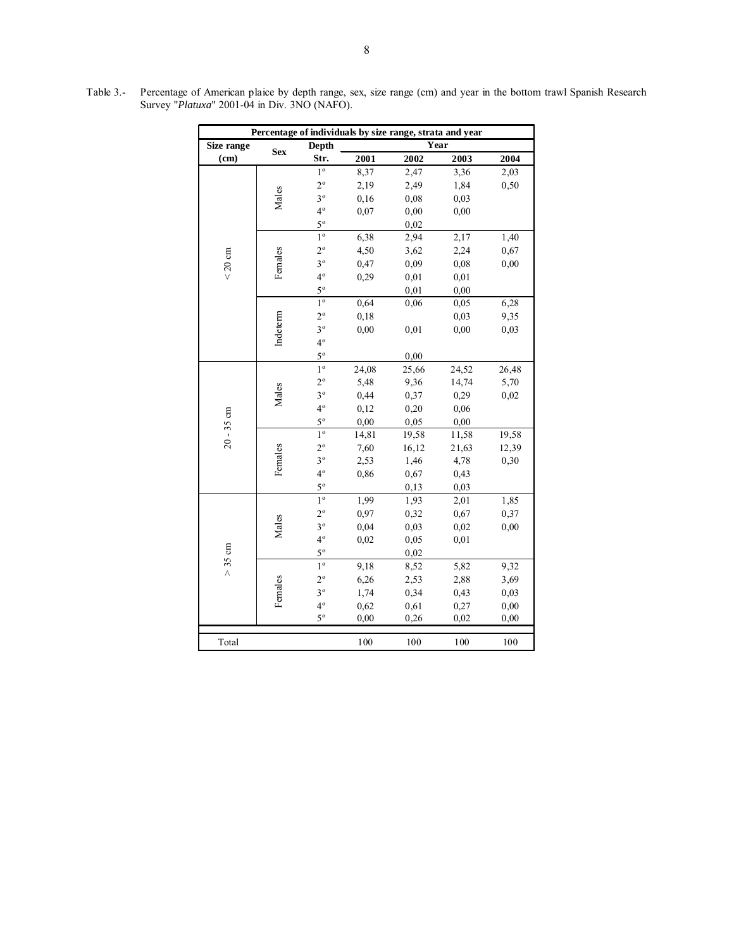|                   |            |                |       | Percentage of individuals by size range, strata and year |       |       |
|-------------------|------------|----------------|-------|----------------------------------------------------------|-------|-------|
| Size range        | <b>Sex</b> | Depth          |       |                                                          | Year  |       |
| (cm)              |            | Str.           | 2001  | 2002                                                     | 2003  | 2004  |
|                   |            | $1^{\circ}$    | 8,37  | 2,47                                                     | 3,36  | 2,03  |
|                   |            | $2^{\circ}$    | 2,19  | 2,49                                                     | 1,84  | 0,50  |
|                   | Males      | $3^{\circ}$    | 0,16  | 0,08                                                     | 0,03  |       |
|                   |            | $4^{\circ}$    | 0,07  | 0,00                                                     | 0,00  |       |
|                   |            | $5^{\circ}$    |       | 0.02                                                     |       |       |
|                   |            | $1^{\circ}$    | 6,38  | 2,94                                                     | 2,17  | 1,40  |
|                   |            | $2^{\circ}$    | 4,50  | 3,62                                                     | 2,24  | 0,67  |
| $< 20 \text{ cm}$ | Females    | $3^{\circ}$    | 0,47  | 0,09                                                     | 0,08  | 0,00  |
|                   |            | $4^{\circ}$    | 0,29  | 0,01                                                     | 0,01  |       |
|                   |            | $5^{\circ}$    |       | 0,01                                                     | 0,00  |       |
|                   |            | $1^{\circ}$    | 0,64  | 0,06                                                     | 0,05  | 6,28  |
|                   |            | $2^{\circ}$    | 0,18  |                                                          | 0,03  | 9,35  |
|                   | Indeterm   | $3^{\circ}$    | 0,00  | 0,01                                                     | 0,00  | 0,03  |
|                   |            | $4^{\circ}$    |       |                                                          |       |       |
|                   |            | $5^{\circ}$    |       | 0,00                                                     |       |       |
|                   |            | $1^{\circ}$    | 24,08 | 25,66                                                    | 24,52 | 26,48 |
|                   |            | $2^{\circ}$    | 5,48  | 9,36                                                     | 14,74 | 5,70  |
|                   | Males      | $3^{\circ}$    | 0,44  | 0,37                                                     | 0,29  | 0,02  |
|                   |            | $4^{\circ}$    | 0,12  | 0,20                                                     | 0,06  |       |
| $20 - 35$ cm      |            | $5^{\circ}$    | 0,00  | 0.05                                                     | 0,00  |       |
|                   |            | $1^{\circ}$    | 14,81 | 19,58                                                    | 11,58 | 19,58 |
|                   |            | $2^{\circ}$    | 7,60  | 16,12                                                    | 21,63 | 12,39 |
|                   | Females    | $3^{\circ}$    | 2,53  | 1,46                                                     | 4,78  | 0,30  |
|                   |            | $4^{\circ}$    | 0,86  | 0,67                                                     | 0,43  |       |
|                   |            | $5^{\circ}$    |       | 0,13                                                     | 0,03  |       |
|                   |            | 1 <sup>o</sup> | 1,99  | 1,93                                                     | 2,01  | 1,85  |
|                   |            | $2^{\circ}$    | 0,97  | 0,32                                                     | 0,67  | 0,37  |
|                   | Males      | $3^{\circ}$    | 0,04  | 0,03                                                     | 0,02  | 0,00  |
|                   |            | $4^{\circ}$    | 0,02  | 0,05                                                     | 0,01  |       |
| > 35 cm           |            | $5^{\circ}$    |       | 0,02                                                     |       |       |
|                   |            | $1^{\circ}$    | 9,18  | 8,52                                                     | 5,82  | 9,32  |
|                   |            | $2^{\circ}$    | 6,26  | 2,53                                                     | 2,88  | 3,69  |
|                   | Females    | $3^{\circ}$    | 1,74  | 0,34                                                     | 0,43  | 0,03  |
|                   |            | $4^{\circ}$    | 0,62  | 0,61                                                     | 0,27  | 0,00  |
|                   |            | $5^{\circ}$    | 0,00  | 0,26                                                     | 0,02  | 0,00  |
| Total             |            |                | 100   | 100                                                      | 100   | 100   |
|                   |            |                |       |                                                          |       |       |

Table 3.- Percentage of American plaice by depth range, sex, size range (cm) and year in the bottom trawl Spanish Research Survey "*Platuxa*" 2001-04 in Div. 3NO (NAFO).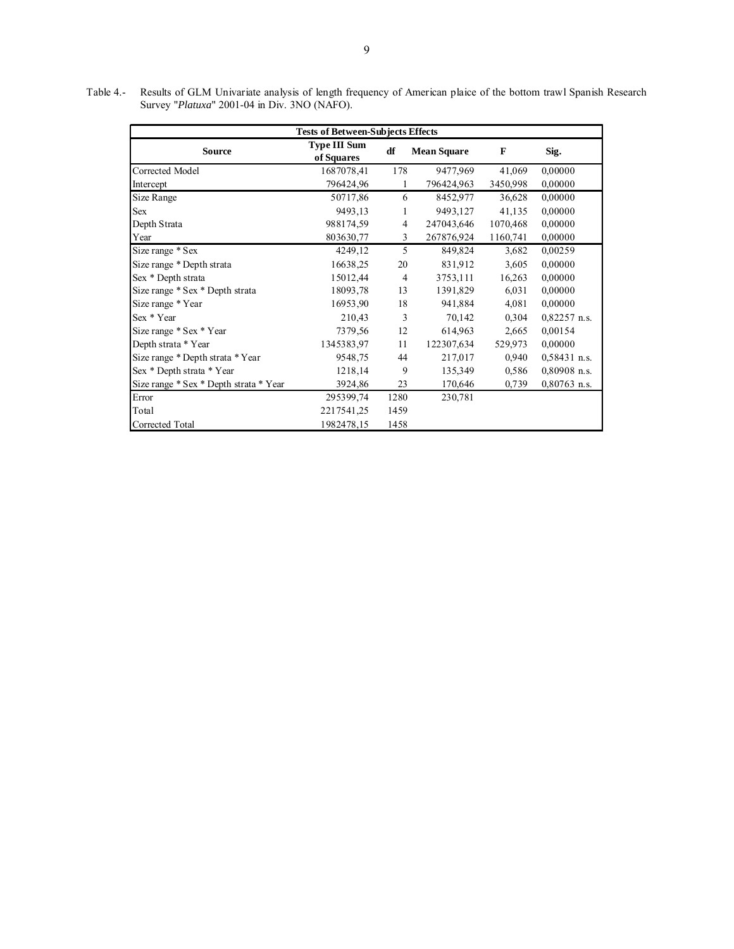Table 4.- Results of GLM Univariate analysis of length frequency of American plaice of the bottom trawl Spanish Research Survey "*Platuxa*" 2001-04 in Div. 3NO (NAFO).

| <b>Tests of Between-Subjects Effects</b> |                                   |                |                    |          |                |  |  |  |  |  |  |  |
|------------------------------------------|-----------------------------------|----------------|--------------------|----------|----------------|--|--|--|--|--|--|--|
| <b>Source</b>                            | <b>Type III Sum</b><br>of Squares | df             | <b>Mean Square</b> | F        | Sig.           |  |  |  |  |  |  |  |
| Corrected Model                          | 1687078,41                        | 178            | 9477,969           | 41,069   | 0,00000        |  |  |  |  |  |  |  |
| Intercept                                | 796424,96                         | 1              | 796424,963         | 3450,998 | 0,00000        |  |  |  |  |  |  |  |
| Size Range                               | 50717,86                          | 6              | 8452,977           | 36,628   | 0,00000        |  |  |  |  |  |  |  |
| <b>Sex</b>                               | 9493,13                           | 1              | 9493,127           | 41,135   | 0,00000        |  |  |  |  |  |  |  |
| Depth Strata                             | 988174,59                         | $\overline{4}$ | 247043,646         | 1070,468 | 0.00000        |  |  |  |  |  |  |  |
| Year                                     | 803630,77                         | 3              | 267876,924         | 1160,741 | 0,00000        |  |  |  |  |  |  |  |
| Size range * Sex                         | 4249,12                           | 5              | 849,824            | 3,682    | 0,00259        |  |  |  |  |  |  |  |
| Size range * Depth strata                | 16638,25                          | 20             | 831,912            | 3,605    | 0.00000        |  |  |  |  |  |  |  |
| Sex * Depth strata                       | 15012,44                          | $\overline{4}$ | 3753,111           | 16,263   | 0,00000        |  |  |  |  |  |  |  |
| Size range * Sex * Depth strata          | 18093,78                          | 13             | 1391,829           | 6,031    | 0,00000        |  |  |  |  |  |  |  |
| Size range * Year                        | 16953,90                          | 18             | 941,884            | 4,081    | 0,00000        |  |  |  |  |  |  |  |
| Sex * Year                               | 210,43                            | 3              | 70,142             | 0,304    | $0,82257$ n.s. |  |  |  |  |  |  |  |
| Size range * Sex * Year                  | 7379,56                           | 12             | 614,963            | 2,665    | 0,00154        |  |  |  |  |  |  |  |
| Depth strata * Year                      | 1345383,97                        | 11             | 122307,634         | 529,973  | 0,00000        |  |  |  |  |  |  |  |
| Size range * Depth strata * Year         | 9548,75                           | 44             | 217,017            | 0,940    | $0,58431$ n.s. |  |  |  |  |  |  |  |
| Sex * Depth strata * Year                | 1218,14                           | 9              | 135,349            | 0,586    | $0,80908$ n.s. |  |  |  |  |  |  |  |
| Size range * Sex * Depth strata * Year   | 3924,86                           | 23             | 170,646            | 0,739    | $0,80763$ n.s. |  |  |  |  |  |  |  |
| Error                                    | 295399,74                         | 1280           | 230,781            |          |                |  |  |  |  |  |  |  |
| Total                                    | 2217541,25                        | 1459           |                    |          |                |  |  |  |  |  |  |  |
| Corrected Total                          | 1982478,15                        | 1458           |                    |          |                |  |  |  |  |  |  |  |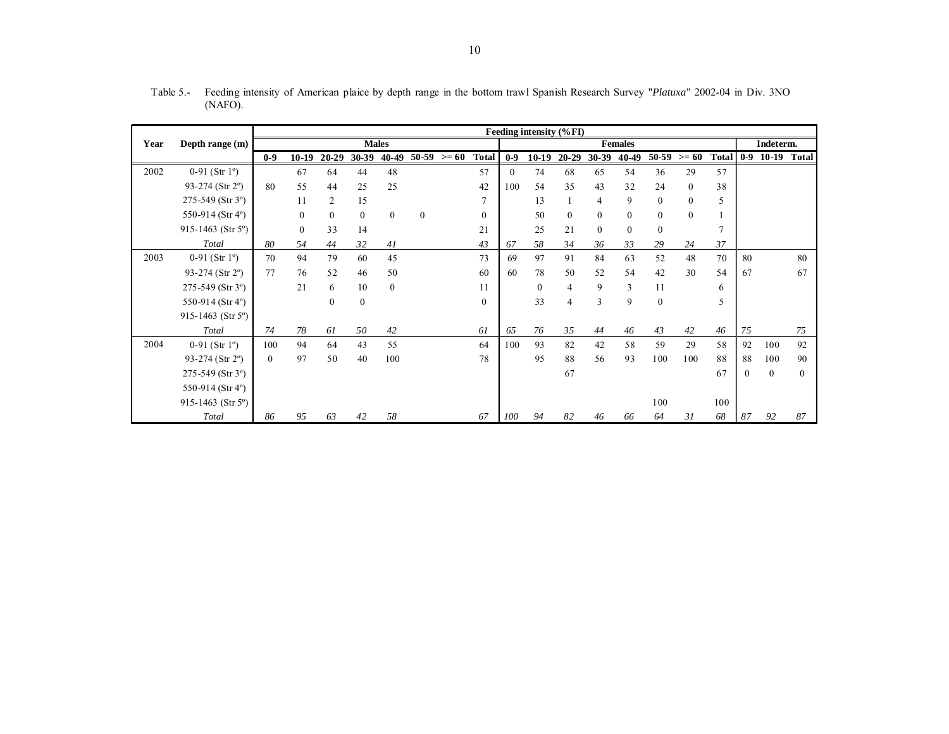|      |                                 | Feeding intensity (%FI) |              |                |              |              |                |               |                  |          |          |                |           |                |              |          |       |          |              |              |
|------|---------------------------------|-------------------------|--------------|----------------|--------------|--------------|----------------|---------------|------------------|----------|----------|----------------|-----------|----------------|--------------|----------|-------|----------|--------------|--------------|
| Year | Depth range (m)                 | <b>Males</b>            |              |                |              |              | <b>Females</b> |               |                  |          |          |                |           | Indeterm.      |              |          |       |          |              |              |
|      |                                 | $0-9$                   | $10-19$      | 20-29          | 30-39        | 40-49        |                | $50-59$ >= 60 | <b>Total</b>     | $0-9$    | $10-19$  | $20 - 29$      | $30 - 39$ | 40-49          | 50-59        | $>= 60$  | Total | $0-9$    | $10-19$      | <b>Total</b> |
| 2002 | 0-91 (Str $1^{\circ}$ )         |                         | 67           | 64             | 44           | 48           |                |               | 57               | $\theta$ | 74       | 68             | 65        | 54             | 36           | 29       | 57    |          |              |              |
|      | 93-274 (Str 2°)                 | 80                      | 55           | 44             | 25           | 25           |                |               | 42               | 100      | 54       | 35             | 43        | 32             | 24           | $\theta$ | 38    |          |              |              |
|      | $275-549$ (Str 3 <sup>o</sup> ) |                         | 11           | $\overline{2}$ | 15           |              |                |               | $\tau$           |          | 13       |                | 4         | 9              | $\mathbf{0}$ | $\Omega$ | 5     |          |              |              |
|      | 550-914 (Str 4°)                |                         | $\mathbf{0}$ | $\theta$       | $\theta$     | $\mathbf{0}$ | $\theta$       |               | $\mathbf{0}$     |          | 50       | $\theta$       | $\Omega$  | $\overline{0}$ | $\mathbf{0}$ | $\Omega$ |       |          |              |              |
|      | 915-1463 (Str 5°)               |                         | $\mathbf{0}$ | 33             | 14           |              |                |               | 21               |          | 25       | 21             | $\Omega$  | $\overline{0}$ | $\mathbf{0}$ |          | 7     |          |              |              |
|      | Total                           | 80                      | 54           | 44             | 32           | 41           |                |               | 43               | 67       | 58       | 34             | 36        | 33             | 29           | 24       | 37    |          |              |              |
| 2003 | 0-91 (Str $1^{\circ}$ )         | 70                      | 94           | 79             | 60           | 45           |                |               | 73               | 69       | 97       | 91             | 84        | 63             | 52           | 48       | 70    | 80       |              | 80           |
|      | 93-274 (Str 2°)                 | 77                      | 76           | 52             | 46           | 50           |                |               | 60               | 60       | 78       | 50             | 52        | 54             | 42           | 30       | 54    | 67       |              | 67           |
|      | 275-549 (Str 3°)                |                         | 21           | 6              | 10           | $\mathbf{0}$ |                |               | 11               |          | $\theta$ | $\overline{4}$ | 9         | 3              | 11           |          | 6     |          |              |              |
|      | 550-914 (Str 4°)                |                         |              | $\theta$       | $\mathbf{0}$ |              |                |               | $\boldsymbol{0}$ |          | 33       | $\overline{4}$ | 3         | 9              | $\mathbf{0}$ |          | 5     |          |              |              |
|      | 915-1463 (Str 5°)               |                         |              |                |              |              |                |               |                  |          |          |                |           |                |              |          |       |          |              |              |
|      | Total                           | 74                      | 78           | 61             | 50           | 42           |                |               | 61               | 65       | 76       | 35             | 44        | 46             | 43           | 42       | 46    | 75       |              | 75           |
| 2004 | 0-91 (Str $1^{\circ}$ )         | 100                     | 94           | 64             | 43           | 55           |                |               | 64               | 100      | 93       | 82             | 42        | 58             | 59           | 29       | 58    | 92       | 100          | 92           |
|      | 93-274 (Str 2°)                 | $\Omega$                | 97           | 50             | 40           | 100          |                |               | 78               |          | 95       | 88             | 56        | 93             | 100          | 100      | 88    | 88       | 100          | 90           |
|      | 275-549 (Str 3°)                |                         |              |                |              |              |                |               |                  |          |          | 67             |           |                |              |          | 67    | $\theta$ | $\mathbf{0}$ | $\theta$     |
|      | 550-914 (Str 4°)                |                         |              |                |              |              |                |               |                  |          |          |                |           |                |              |          |       |          |              |              |
|      | 915-1463 (Str 5°)               |                         |              |                |              |              |                |               |                  |          |          |                |           |                | 100          |          | 100   |          |              |              |
|      | Total                           | 86                      | 95           | 63             | 42           | 58           |                |               | 67               | 100      | 94       | 82             | 46        | 66             | 64           | 31       | 68    | 87       | 92           | 87           |

Table 5.- Feeding intensity of American plaice by depth range in the bottom trawl Spanish Research Survey "*Platuxa*" 2002-04 in Div. 3NO (NAFO).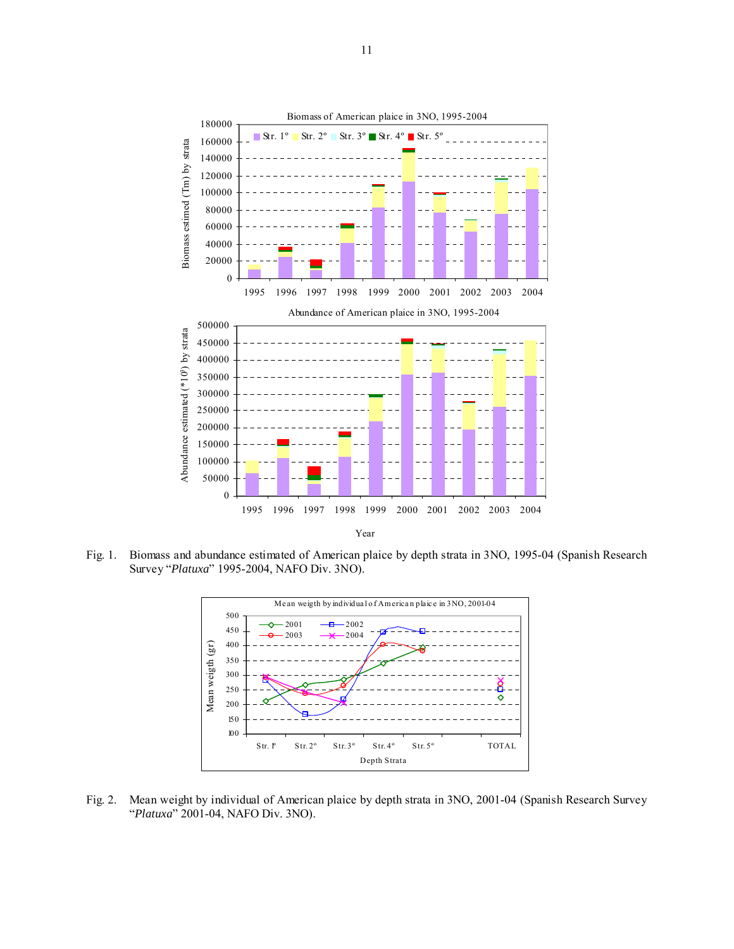

Fig. 1. Biomass and abundance estimated of American plaice by depth strata in 3NO, 1995-04 (Spanish Research Survey "*Platuxa*" 1995-2004, NAFO Div. 3NO).



Fig. 2. Mean weight by individual of American plaice by depth strata in 3NO, 2001-04 (Spanish Research Survey "*Platuxa*" 2001-04, NAFO Div. 3NO).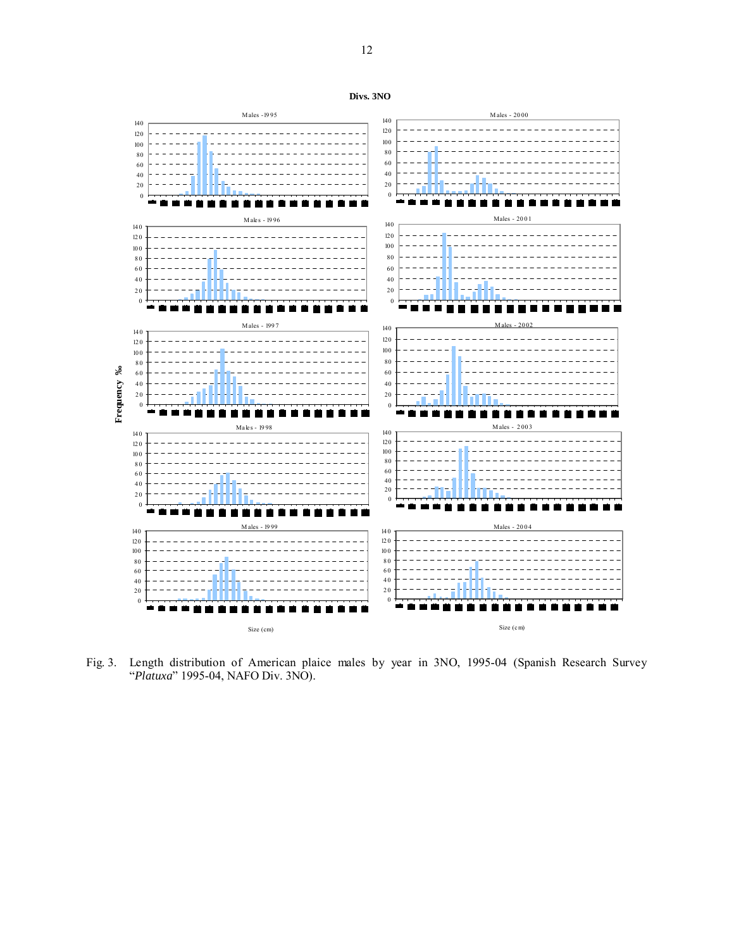

Fig. 3. Length distribution of American plaice males by year in 3NO, 1995-04 (Spanish Research Survey "*Platuxa*" 1995-04, NAFO Div. 3NO).

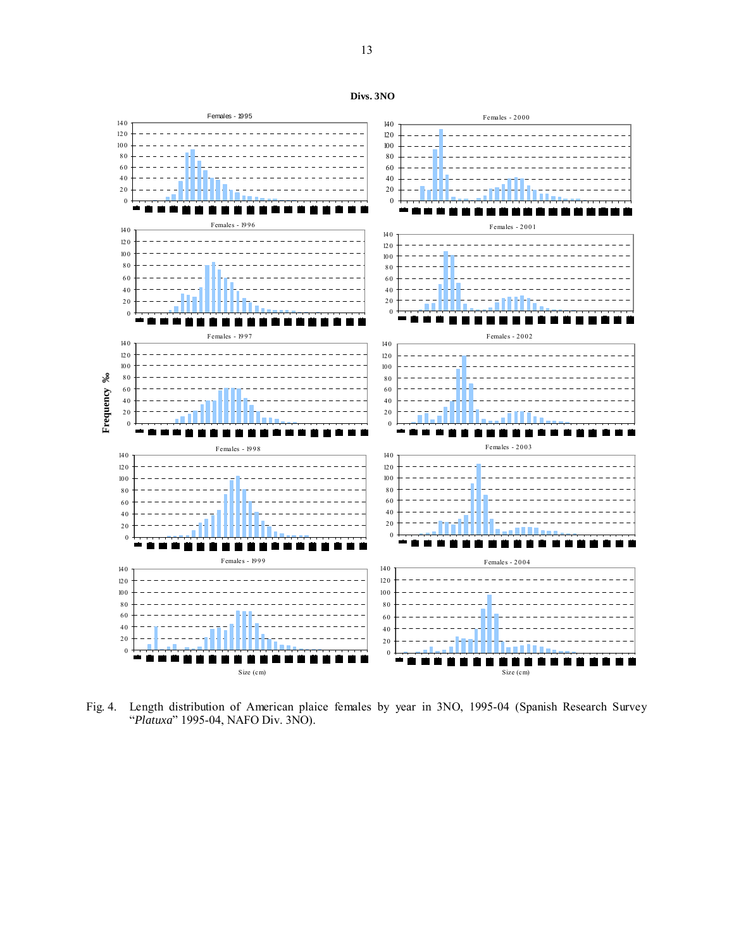



Fig. 4. Length distribution of American plaice females by year in 3NO, 1995-04 (Spanish Research Survey "*Platuxa*" 1995-04, NAFO Div. 3NO).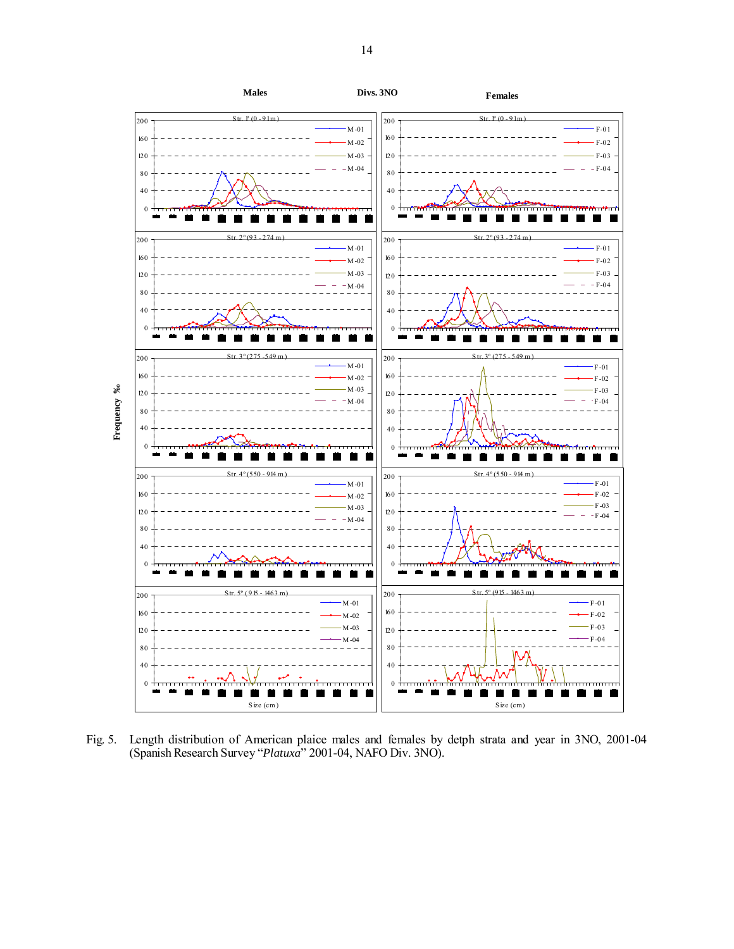

Fig. 5. Length distribution of American plaice males and females by detph strata and year in 3NO, 2001-04 (Spanish Research Survey "*Platuxa*" 2001-04, NAFO Div. 3NO).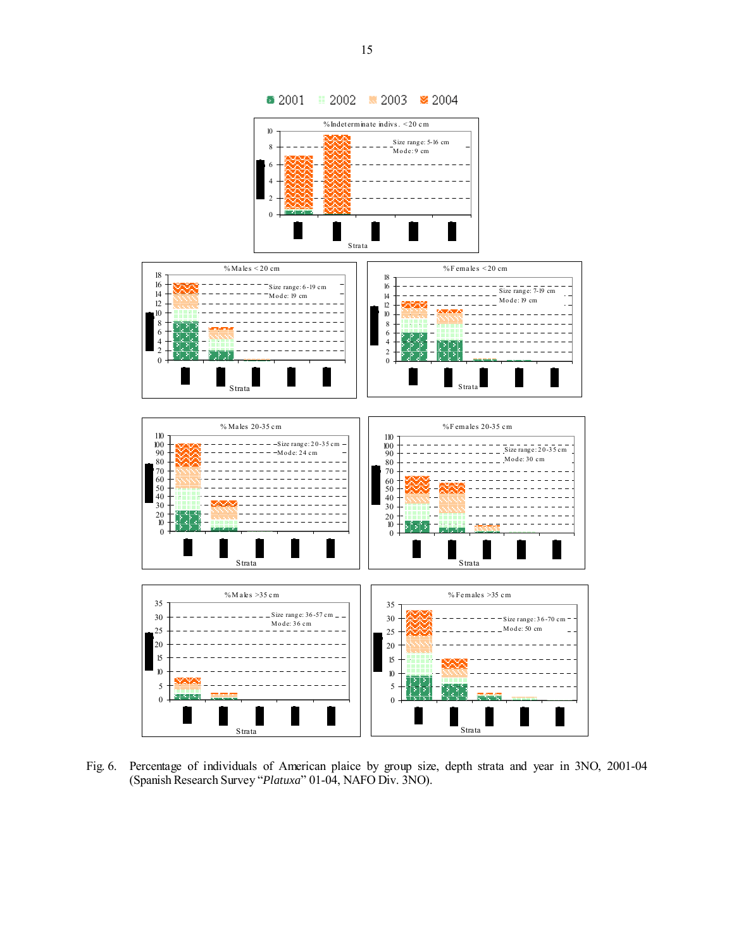

Fig. 6. Percentage of individuals of American plaice by group size, depth strata and year in 3NO, 2001-04 (Spanish Research Survey "*Platuxa*" 01-04, NAFO Div. 3NO).